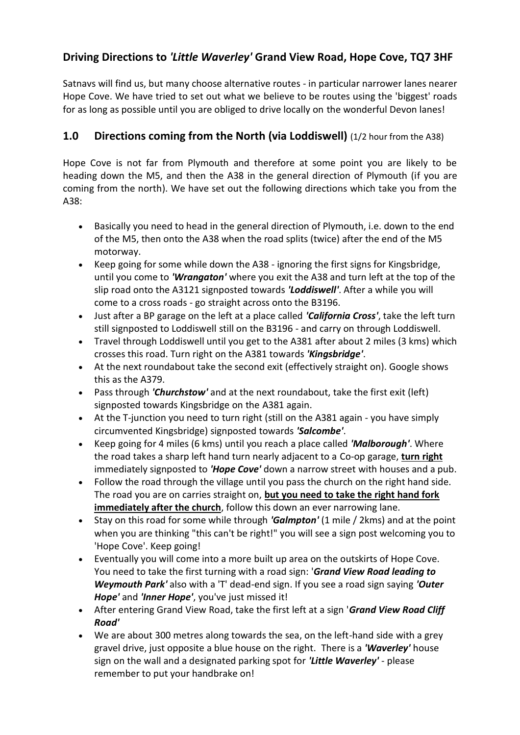## **Driving Directions to** *'Little Waverley'* **Grand View Road, Hope Cove, TQ7 3HF**

Satnavs will find us, but many choose alternative routes - in particular narrower lanes nearer Hope Cove. We have tried to set out what we believe to be routes using the 'biggest' roads for as long as possible until you are obliged to drive locally on the wonderful Devon lanes!

## **1.0 Directions coming from the North (via Loddiswell)** (1/2 hour from the A38)

Hope Cove is not far from Plymouth and therefore at some point you are likely to be heading down the M5, and then the A38 in the general direction of Plymouth (if you are coming from the north). We have set out the following directions which take you from the A38:

- Basically you need to head in the general direction of Plymouth, i.e. down to the end of the M5, then onto the A38 when the road splits (twice) after the end of the M5 motorway.
- Keep going for some while down the A38 ignoring the first signs for Kingsbridge, until you come to *'Wrangaton'* where you exit the A38 and turn left at the top of the slip road onto the A3121 signposted towards *'Loddiswell'*. After a while you will come to a cross roads - go straight across onto the B3196.
- Just after a BP garage on the left at a place called *'California Cross'*, take the left turn still signposted to Loddiswell still on the B3196 - and carry on through Loddiswell.
- Travel through Loddiswell until you get to the A381 after about 2 miles (3 kms) which crosses this road. Turn right on the A381 towards *'Kingsbridge'*.
- At the next roundabout take the second exit (effectively straight on). Google shows this as the A379.
- Pass through *'Churchstow'* and at the next roundabout, take the first exit (left) signposted towards Kingsbridge on the A381 again.
- At the T-junction you need to turn right (still on the A381 again you have simply circumvented Kingsbridge) signposted towards *'Salcombe'*.
- Keep going for 4 miles (6 kms) until you reach a place called *'Malborough'*. Where the road takes a sharp left hand turn nearly adjacent to a Co-op garage, **turn right** immediately signposted to *'Hope Cove'* down a narrow street with houses and a pub.
- Follow the road through the village until you pass the church on the right hand side. The road you are on carries straight on, **but you need to take the right hand fork immediately after the church**, follow this down an ever narrowing lane.
- Stay on this road for some while through *'Galmpton'* (1 mile / 2kms) and at the point when you are thinking "this can't be right!" you will see a sign post welcoming you to 'Hope Cove'. Keep going!
- Eventually you will come into a more built up area on the outskirts of Hope Cove. You need to take the first turning with a road sign: '*Grand View Road leading to Weymouth Park'* also with a 'T' dead-end sign. If you see a road sign saying *'Outer Hope'* and *'Inner Hope'*, you've just missed it!
- After entering Grand View Road, take the first left at a sign '*Grand View Road Cliff Road'*
- We are about 300 metres along towards the sea, on the left-hand side with a grey gravel drive, just opposite a blue house on the right. There is a *'Waverley'* house sign on the wall and a designated parking spot for *'Little Waverley'* - please remember to put your handbrake on!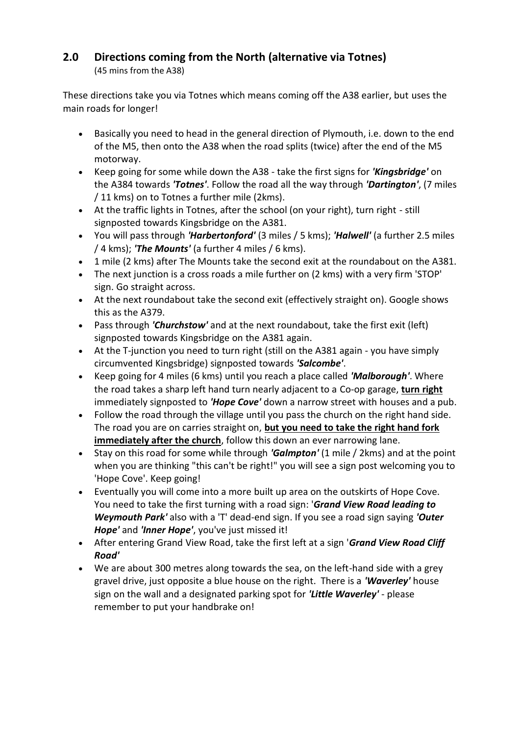## **2.0 Directions coming from the North (alternative via Totnes)**

(45 mins from the A38)

These directions take you via Totnes which means coming off the A38 earlier, but uses the main roads for longer!

- Basically you need to head in the general direction of Plymouth, i.e. down to the end of the M5, then onto the A38 when the road splits (twice) after the end of the M5 motorway.
- Keep going for some while down the A38 take the first signs for *'Kingsbridge'* on the A384 towards *'Totnes'*. Follow the road all the way through *'Dartington'*, (7 miles / 11 kms) on to Totnes a further mile (2kms).
- At the traffic lights in Totnes, after the school (on your right), turn right still signposted towards Kingsbridge on the A381.
- You will pass through *'Harbertonford'* (3 miles / 5 kms); *'Halwell'* (a further 2.5 miles / 4 kms); *'The Mounts'* (a further 4 miles / 6 kms).
- 1 mile (2 kms) after The Mounts take the second exit at the roundabout on the A381.
- The next junction is a cross roads a mile further on (2 kms) with a very firm 'STOP' sign. Go straight across.
- At the next roundabout take the second exit (effectively straight on). Google shows this as the A379.
- Pass through *'Churchstow'* and at the next roundabout, take the first exit (left) signposted towards Kingsbridge on the A381 again.
- At the T-junction you need to turn right (still on the A381 again you have simply circumvented Kingsbridge) signposted towards *'Salcombe'*.
- Keep going for 4 miles (6 kms) until you reach a place called *'Malborough'*. Where the road takes a sharp left hand turn nearly adjacent to a Co-op garage, **turn right** immediately signposted to *'Hope Cove'* down a narrow street with houses and a pub.
- Follow the road through the village until you pass the church on the right hand side. The road you are on carries straight on, **but you need to take the right hand fork immediately after the church**, follow this down an ever narrowing lane.
- Stay on this road for some while through *'Galmpton'* (1 mile / 2kms) and at the point when you are thinking "this can't be right!" you will see a sign post welcoming you to 'Hope Cove'. Keep going!
- Eventually you will come into a more built up area on the outskirts of Hope Cove. You need to take the first turning with a road sign: '*Grand View Road leading to Weymouth Park'* also with a 'T' dead-end sign. If you see a road sign saying *'Outer Hope'* and *'Inner Hope'*, you've just missed it!
- After entering Grand View Road, take the first left at a sign '*Grand View Road Cliff Road'*
- We are about 300 metres along towards the sea, on the left-hand side with a grey gravel drive, just opposite a blue house on the right. There is a *'Waverley'* house sign on the wall and a designated parking spot for *'Little Waverley'* - please remember to put your handbrake on!